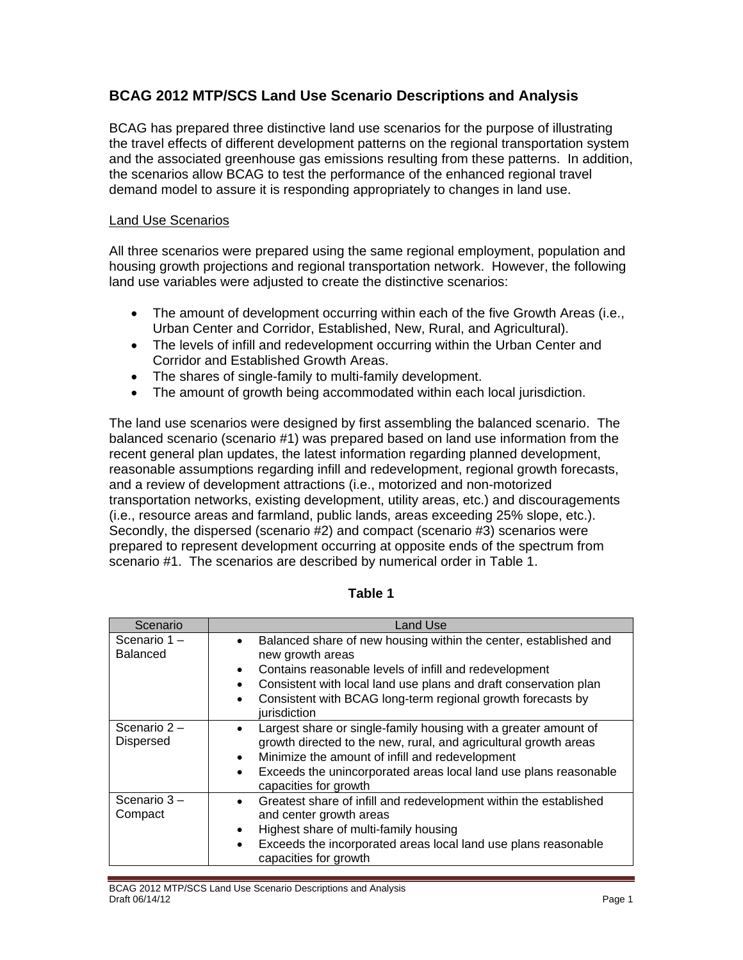# **BCAG 2012 MTP/SCS Land Use Scenario Descriptions and Analysis**

BCAG has prepared three distinctive land use scenarios for the purpose of illustrating the travel effects of different development patterns on the regional transportation system and the associated greenhouse gas emissions resulting from these patterns. In addition, the scenarios allow BCAG to test the performance of the enhanced regional travel demand model to assure it is responding appropriately to changes in land use.

### Land Use Scenarios

All three scenarios were prepared using the same regional employment, population and housing growth projections and regional transportation network. However, the following land use variables were adjusted to create the distinctive scenarios:

- The amount of development occurring within each of the five Growth Areas (i.e., Urban Center and Corridor, Established, New, Rural, and Agricultural).
- The levels of infill and redevelopment occurring within the Urban Center and Corridor and Established Growth Areas.
- The shares of single-family to multi-family development.
- The amount of growth being accommodated within each local jurisdiction.

The land use scenarios were designed by first assembling the balanced scenario. The balanced scenario (scenario #1) was prepared based on land use information from the recent general plan updates, the latest information regarding planned development, reasonable assumptions regarding infill and redevelopment, regional growth forecasts, and a review of development attractions (i.e., motorized and non-motorized transportation networks, existing development, utility areas, etc.) and discouragements (i.e., resource areas and farmland, public lands, areas exceeding 25% slope, etc.). Secondly, the dispersed (scenario #2) and compact (scenario #3) scenarios were prepared to represent development occurring at opposite ends of the spectrum from scenario #1. The scenarios are described by numerical order in Table 1.

| Scenario                           | <b>Land Use</b>                                                                                                                                                                                                                                                                                                                          |  |  |
|------------------------------------|------------------------------------------------------------------------------------------------------------------------------------------------------------------------------------------------------------------------------------------------------------------------------------------------------------------------------------------|--|--|
| Scenario 1-<br><b>Balanced</b>     | Balanced share of new housing within the center, established and<br>new growth areas<br>Contains reasonable levels of infill and redevelopment<br>$\bullet$<br>Consistent with local land use plans and draft conservation plan<br>$\bullet$<br>Consistent with BCAG long-term regional growth forecasts by<br>$\bullet$<br>jurisdiction |  |  |
| Scenario $2 -$<br><b>Dispersed</b> | Largest share or single-family housing with a greater amount of<br>growth directed to the new, rural, and agricultural growth areas<br>Minimize the amount of infill and redevelopment<br>$\bullet$<br>Exceeds the unincorporated areas local land use plans reasonable<br>$\bullet$<br>capacities for growth                            |  |  |
| Scenario $3 -$<br>Compact          | Greatest share of infill and redevelopment within the established<br>$\bullet$<br>and center growth areas<br>Highest share of multi-family housing<br>$\bullet$<br>Exceeds the incorporated areas local land use plans reasonable<br>$\bullet$<br>capacities for growth                                                                  |  |  |

### **Table 1**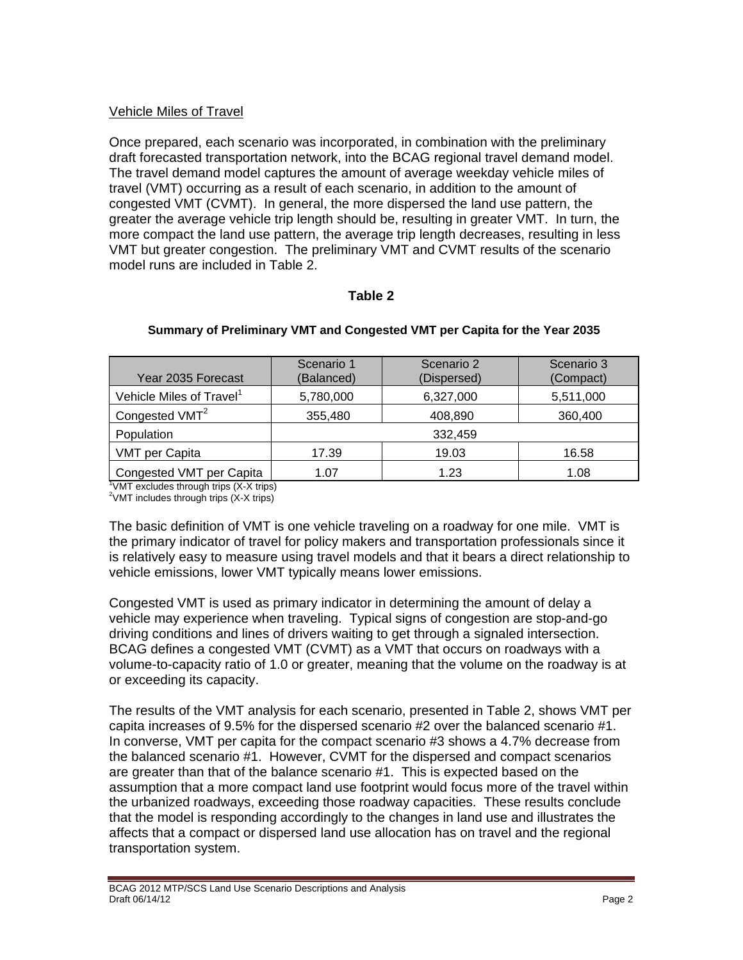# Vehicle Miles of Travel

Once prepared, each scenario was incorporated, in combination with the preliminary draft forecasted transportation network, into the BCAG regional travel demand model. The travel demand model captures the amount of average weekday vehicle miles of travel (VMT) occurring as a result of each scenario, in addition to the amount of congested VMT (CVMT). In general, the more dispersed the land use pattern, the greater the average vehicle trip length should be, resulting in greater VMT. In turn, the more compact the land use pattern, the average trip length decreases, resulting in less VMT but greater congestion. The preliminary VMT and CVMT results of the scenario model runs are included in Table 2.

### **Table 2**

| Year 2035 Forecast                                                                           | Scenario 1<br>(Balanced) | Scenario 2<br>(Dispersed) | Scenario 3<br>(Compact) |
|----------------------------------------------------------------------------------------------|--------------------------|---------------------------|-------------------------|
| Vehicle Miles of Travel <sup>1</sup>                                                         | 5,780,000                | 6,327,000                 | 5,511,000               |
| Congested VMT <sup>2</sup>                                                                   | 355,480                  | 408,890                   | 360,400                 |
| Population                                                                                   |                          | 332,459                   |                         |
| <b>VMT per Capita</b>                                                                        | 17.39                    | 19.03                     | 16.58                   |
| Congested VMT per Capita<br>$\frac{1}{1}$ (AT ovaludes through trips $(V, V, \text{time})$ ) | 1.07                     | 1.23                      | 1.08                    |

#### **Summary of Preliminary VMT and Congested VMT per Capita for the Year 2035**

VMT excludes through trips (X-X trips)  $2$ VMT includes through trips  $(X-X$  trips)

The basic definition of VMT is one vehicle traveling on a roadway for one mile. VMT is the primary indicator of travel for policy makers and transportation professionals since it is relatively easy to measure using travel models and that it bears a direct relationship to vehicle emissions, lower VMT typically means lower emissions.

Congested VMT is used as primary indicator in determining the amount of delay a vehicle may experience when traveling. Typical signs of congestion are stop-and-go driving conditions and lines of drivers waiting to get through a signaled intersection. BCAG defines a congested VMT (CVMT) as a VMT that occurs on roadways with a volume-to-capacity ratio of 1.0 or greater, meaning that the volume on the roadway is at or exceeding its capacity.

The results of the VMT analysis for each scenario, presented in Table 2, shows VMT per capita increases of 9.5% for the dispersed scenario #2 over the balanced scenario #1. In converse, VMT per capita for the compact scenario #3 shows a 4.7% decrease from the balanced scenario #1. However, CVMT for the dispersed and compact scenarios are greater than that of the balance scenario #1. This is expected based on the assumption that a more compact land use footprint would focus more of the travel within the urbanized roadways, exceeding those roadway capacities. These results conclude that the model is responding accordingly to the changes in land use and illustrates the affects that a compact or dispersed land use allocation has on travel and the regional transportation system.